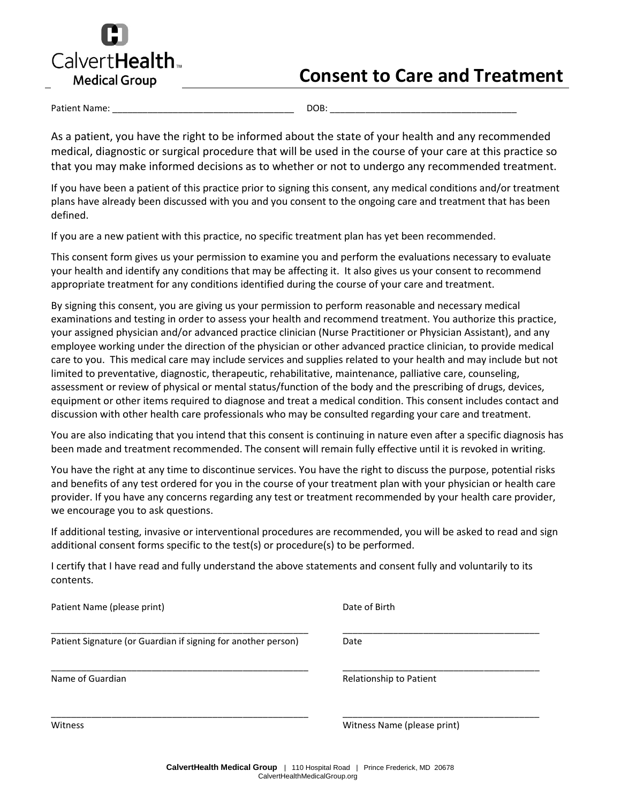

# **Consent to Care and Treatment**

Patient Name: \_\_\_\_\_\_\_\_\_\_\_\_\_\_\_\_\_\_\_\_\_\_\_\_\_\_\_\_\_\_\_\_\_\_\_\_ DOB: \_\_\_\_\_\_\_\_\_\_\_\_\_\_\_\_\_\_\_\_\_\_\_\_\_\_\_\_\_\_\_\_\_\_\_\_\_

As a patient, you have the right to be informed about the state of your health and any recommended medical, diagnostic or surgical procedure that will be used in the course of your care at this practice so that you may make informed decisions as to whether or not to undergo any recommended treatment.

If you have been a patient of this practice prior to signing this consent, any medical conditions and/or treatment plans have already been discussed with you and you consent to the ongoing care and treatment that has been defined.

If you are a new patient with this practice, no specific treatment plan has yet been recommended.

This consent form gives us your permission to examine you and perform the evaluations necessary to evaluate your health and identify any conditions that may be affecting it. It also gives us your consent to recommend appropriate treatment for any conditions identified during the course of your care and treatment.

By signing this consent, you are giving us your permission to perform reasonable and necessary medical examinations and testing in order to assess your health and recommend treatment. You authorize this practice, your assigned physician and/or advanced practice clinician (Nurse Practitioner or Physician Assistant), and any employee working under the direction of the physician or other advanced practice clinician, to provide medical care to you. This medical care may include services and supplies related to your health and may include but not limited to preventative, diagnostic, therapeutic, rehabilitative, maintenance, palliative care, counseling, assessment or review of physical or mental status/function of the body and the prescribing of drugs, devices, equipment or other items required to diagnose and treat a medical condition. This consent includes contact and discussion with other health care professionals who may be consulted regarding your care and treatment.

You are also indicating that you intend that this consent is continuing in nature even after a specific diagnosis has been made and treatment recommended. The consent will remain fully effective until it is revoked in writing.

You have the right at any time to discontinue services. You have the right to discuss the purpose, potential risks and benefits of any test ordered for you in the course of your treatment plan with your physician or health care provider. If you have any concerns regarding any test or treatment recommended by your health care provider, we encourage you to ask questions.

If additional testing, invasive or interventional procedures are recommended, you will be asked to read and sign additional consent forms specific to the test(s) or procedure(s) to be performed.

I certify that I have read and fully understand the above statements and consent fully and voluntarily to its contents.

| Patient Name (please print)                                   | Date of Birth               |
|---------------------------------------------------------------|-----------------------------|
| Patient Signature (or Guardian if signing for another person) | Date                        |
| Name of Guardian                                              | Relationship to Patient     |
| Witness                                                       | Witness Name (please print) |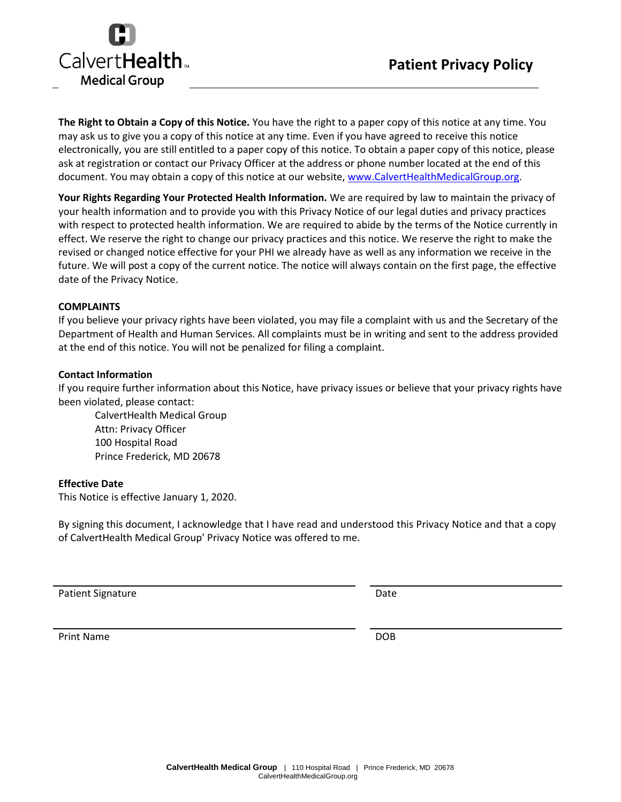



**The Right to Obtain a Copy of this Notice.** You have the right to a paper copy of this notice at any time. You may ask us to give you a copy of this notice at any time. Even if you have agreed to receive this notice electronically, you are still entitled to a paper copy of this notice. To obtain a paper copy of this notice, please ask at registration or contact our Privacy Officer at the address or phone number located at the end of this document. You may obtain a copy of this notice at our website, [www.CalvertHealthMedicalGroup.org.](http://www.calvertphysicianassociates.org/)

**Your Rights Regarding Your Protected Health Information.** We are required by law to maintain the privacy of your health information and to provide you with this Privacy Notice of our legal duties and privacy practices with respect to protected health information. We are required to abide by the terms of the Notice currently in effect. We reserve the right to change our privacy practices and this notice. We reserve the right to make the revised or changed notice effective for your PHI we already have as well as any information we receive in the future. We will post a copy of the current notice. The notice will always contain on the first page, the effective date of the Privacy Notice.

#### **COMPLAINTS**

If you believe your privacy rights have been violated, you may file a complaint with us and the Secretary of the Department of Health and Human Services. All complaints must be in writing and sent to the address provided at the end of this notice. You will not be penalized for filing a complaint.

#### **Contact Information**

If you require further information about this Notice, have privacy issues or believe that your privacy rights have been violated, please contact:

CalvertHealth Medical Group Attn: Privacy Officer 100 Hospital Road Prince Frederick, MD 20678

### **Effective Date**

This Notice is effective January 1, 2020.

By signing this document, I acknowledge that I have read and understood this Privacy Notice and that a copy of CalvertHealth Medical Group' Privacy Notice was offered to me.

Patient Signature Date Date

Print Name DOB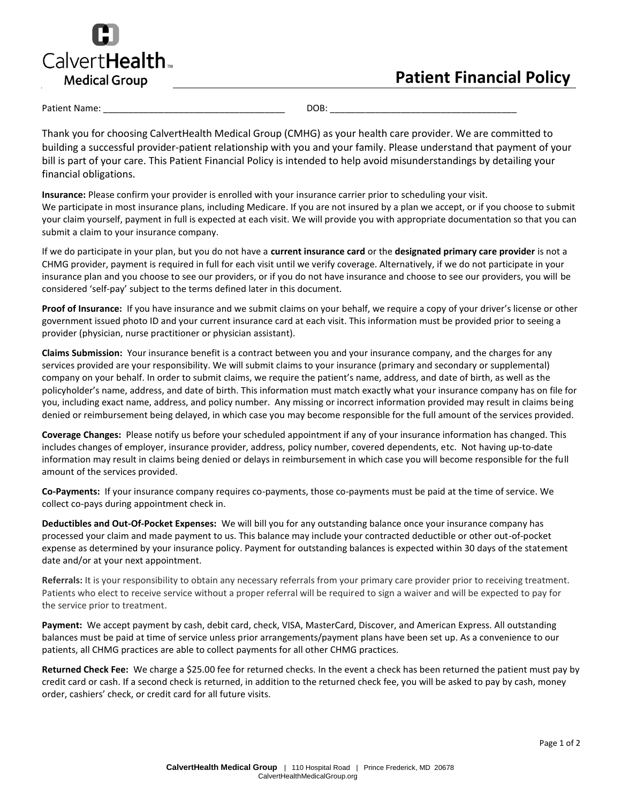

### **Patient Financial Policy**

#### Patient Name: \_\_\_\_\_\_\_\_\_\_\_\_\_\_\_\_\_\_\_\_\_\_\_\_\_\_\_\_\_\_\_\_\_\_\_\_ DOB: \_\_\_\_\_\_\_\_\_\_\_\_\_\_\_\_\_\_\_\_\_\_\_\_\_\_\_\_\_\_\_\_\_\_\_\_\_

Thank you for choosing CalvertHealth Medical Group (CMHG) as your health care provider. We are committed to building a successful provider-patient relationship with you and your family. Please understand that payment of your bill is part of your care. This Patient Financial Policy is intended to help avoid misunderstandings by detailing your financial obligations.

**Insurance:** Please confirm your provider is enrolled with your insurance carrier prior to scheduling your visit. We participate in most insurance plans, including Medicare. If you are not insured by a plan we accept, or if you choose to submit your claim yourself, payment in full is expected at each visit. We will provide you with appropriate documentation so that you can submit a claim to your insurance company.

If we do participate in your plan, but you do not have a **current insurance card** or the **designated primary care provider** is not a CHMG provider, payment is required in full for each visit until we verify coverage. Alternatively, if we do not participate in your insurance plan and you choose to see our providers, or if you do not have insurance and choose to see our providers, you will be considered 'self-pay' subject to the terms defined later in this document.

**Proof of Insurance:** If you have insurance and we submit claims on your behalf, we require a copy of your driver's license or other government issued photo ID and your current insurance card at each visit. This information must be provided prior to seeing a provider (physician, nurse practitioner or physician assistant).

**Claims Submission:** Your insurance benefit is a contract between you and your insurance company, and the charges for any services provided are your responsibility. We will submit claims to your insurance (primary and secondary or supplemental) company on your behalf. In order to submit claims, we require the patient's name, address, and date of birth, as well as the policyholder's name, address, and date of birth. This information must match exactly what your insurance company has on file for you, including exact name, address, and policy number. Any missing or incorrect information provided may result in claims being denied or reimbursement being delayed, in which case you may become responsible for the full amount of the services provided.

**Coverage Changes:** Please notify us before your scheduled appointment if any of your insurance information has changed. This includes changes of employer, insurance provider, address, policy number, covered dependents, etc. Not having up-to-date information may result in claims being denied or delays in reimbursement in which case you will become responsible for the full amount of the services provided.

**Co-Payments:** If your insurance company requires co-payments, those co-payments must be paid at the time of service. We collect co-pays during appointment check in.

**Deductibles and Out-Of-Pocket Expenses:** We will bill you for any outstanding balance once your insurance company has processed your claim and made payment to us. This balance may include your contracted deductible or other out-of-pocket expense as determined by your insurance policy. Payment for outstanding balances is expected within 30 days of the statement date and/or at your next appointment.

**Referrals:** It is your responsibility to obtain any necessary referrals from your primary care provider prior to receiving treatment. Patients who elect to receive service without a proper referral will be required to sign a waiver and will be expected to pay for the service prior to treatment.

**Payment:** We accept payment by cash, debit card, check, VISA, MasterCard, Discover, and American Express. All outstanding balances must be paid at time of service unless prior arrangements/payment plans have been set up. As a convenience to our patients, all CHMG practices are able to collect payments for all other CHMG practices.

**Returned Check Fee:** We charge a \$25.00 fee for returned checks. In the event a check has been returned the patient must pay by credit card or cash. If a second check is returned, in addition to the returned check fee, you will be asked to pay by cash, money order, cashiers' check, or credit card for all future visits.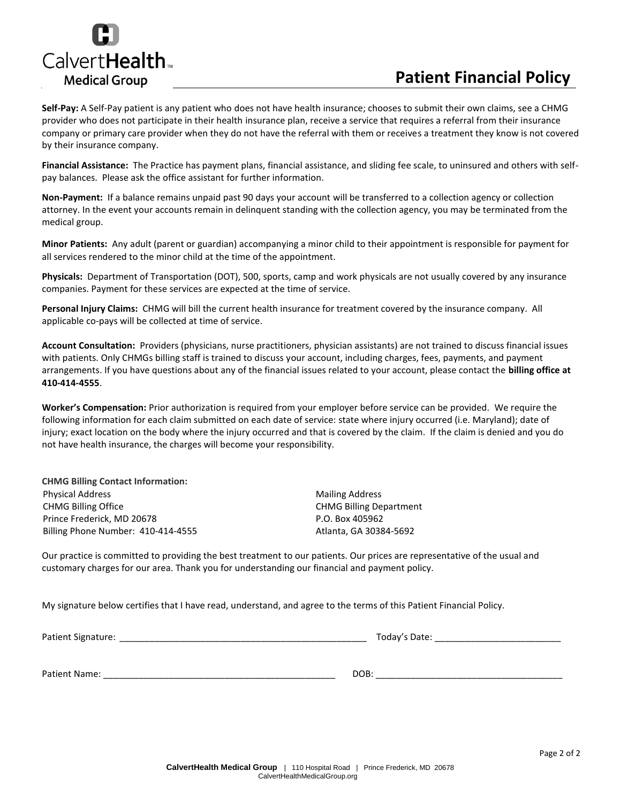

## **Patient Financial Policy**

**Self-Pay:** A Self-Pay patient is any patient who does not have health insurance; chooses to submit their own claims, see a CHMG provider who does not participate in their health insurance plan, receive a service that requires a referral from their insurance company or primary care provider when they do not have the referral with them or receives a treatment they know is not covered by their insurance company.

**Financial Assistance:** The Practice has payment plans, financial assistance, and sliding fee scale, to uninsured and others with selfpay balances. Please ask the office assistant for further information.

**Non-Payment:** If a balance remains unpaid past 90 days your account will be transferred to a collection agency or collection attorney. In the event your accounts remain in delinquent standing with the collection agency, you may be terminated from the medical group.

**Minor Patients:** Any adult (parent or guardian) accompanying a minor child to their appointment is responsible for payment for all services rendered to the minor child at the time of the appointment.

**Physicals:** Department of Transportation (DOT), 500, sports, camp and work physicals are not usually covered by any insurance companies. Payment for these services are expected at the time of service.

**Personal Injury Claims:** CHMG will bill the current health insurance for treatment covered by the insurance company. All applicable co-pays will be collected at time of service.

**Account Consultation:** Providers (physicians, nurse practitioners, physician assistants) are not trained to discuss financial issues with patients. Only CHMGs billing staff is trained to discuss your account, including charges, fees, payments, and payment arrangements. If you have questions about any of the financial issues related to your account, please contact the **billing office at 410-414-4555**.

**Worker's Compensation:** Prior authorization is required from your employer before service can be provided. We require the following information for each claim submitted on each date of service: state where injury occurred (i.e. Maryland); date of injury; exact location on the body where the injury occurred and that is covered by the claim. If the claim is denied and you do not have health insurance, the charges will become your responsibility.

| <b>CHMG Billing Contact Information:</b> |
|------------------------------------------|
| <b>Physical Address</b>                  |
| <b>CHMG Billing Office</b>               |
| Prince Frederick, MD 20678               |
| Billing Phone Number: 410-414-4555       |

**Mailing Address** CHMG Billing Department P.O. Box 405962 Atlanta, GA 30384-5692

Our practice is committed to providing the best treatment to our patients. Our prices are representative of the usual and customary charges for our area. Thank you for understanding our financial and payment policy.

My signature below certifies that I have read, understand, and agree to the terms of this Patient Financial Policy.

Patient Signature: \_\_\_\_\_\_\_\_\_\_\_\_\_\_\_\_\_\_\_\_\_\_\_\_\_\_\_\_\_\_\_\_\_\_\_\_\_\_\_\_\_\_\_\_\_\_\_\_\_ Today's Date: \_\_\_\_\_\_\_\_\_\_\_\_\_\_\_\_\_\_\_\_\_\_\_\_\_

Patient Name: \_\_\_\_\_\_\_\_\_\_\_\_\_\_\_\_\_\_\_\_\_\_\_\_\_\_\_\_\_\_\_\_\_\_\_\_\_\_\_\_\_\_\_\_\_\_ DOB: \_\_\_\_\_\_\_\_\_\_\_\_\_\_\_\_\_\_\_\_\_\_\_\_\_\_\_\_\_\_\_\_\_\_\_\_\_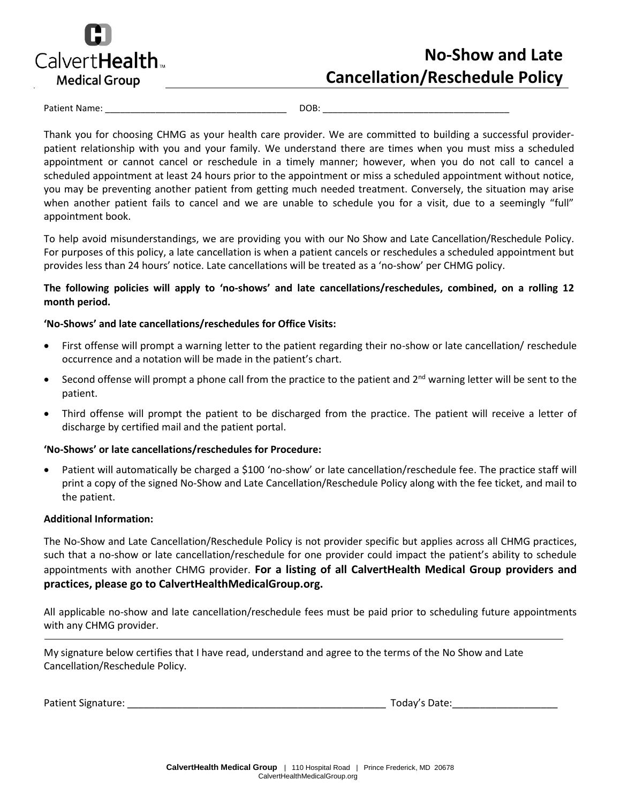

# **No-Show and Late Cancellation/Reschedule Policy**

Patient Name:  $\Box$  DOB:  $\Box$ 

Thank you for choosing CHMG as your health care provider. We are committed to building a successful providerpatient relationship with you and your family. We understand there are times when you must miss a scheduled appointment or cannot cancel or reschedule in a timely manner; however, when you do not call to cancel a scheduled appointment at least 24 hours prior to the appointment or miss a scheduled appointment without notice, you may be preventing another patient from getting much needed treatment. Conversely, the situation may arise when another patient fails to cancel and we are unable to schedule you for a visit, due to a seemingly "full" appointment book.

To help avoid misunderstandings, we are providing you with our No Show and Late Cancellation/Reschedule Policy. For purposes of this policy, a late cancellation is when a patient cancels or reschedules a scheduled appointment but provides less than 24 hours' notice. Late cancellations will be treated as a 'no-show' per CHMG policy.

### **The following policies will apply to 'no-shows' and late cancellations/reschedules, combined, on a rolling 12 month period.**

### **'No-Shows' and late cancellations/reschedules for Office Visits:**

- First offense will prompt a warning letter to the patient regarding their no-show or late cancellation/ reschedule occurrence and a notation will be made in the patient's chart.
- Second offense will prompt a phone call from the practice to the patient and 2<sup>nd</sup> warning letter will be sent to the patient.
- Third offense will prompt the patient to be discharged from the practice. The patient will receive a letter of discharge by certified mail and the patient portal.

### **'No-Shows' or late cancellations/reschedules for Procedure:**

• Patient will automatically be charged a \$100 'no-show' or late cancellation/reschedule fee. The practice staff will print a copy of the signed No-Show and Late Cancellation/Reschedule Policy along with the fee ticket, and mail to the patient.

#### **Additional Information:**

The No-Show and Late Cancellation/Reschedule Policy is not provider specific but applies across all CHMG practices, such that a no-show or late cancellation/reschedule for one provider could impact the patient's ability to schedule appointments with another CHMG provider. **For a listing of all CalvertHealth Medical Group providers and practices, please go to CalvertHealthMedicalGroup.org.**

All applicable no-show and late cancellation/reschedule fees must be paid prior to scheduling future appointments with any CHMG provider.

My signature below certifies that I have read, understand and agree to the terms of the No Show and Late Cancellation/Reschedule Policy.

Patient Signature: \_\_\_\_\_\_\_\_\_\_\_\_\_\_\_\_\_\_\_\_\_\_\_\_\_\_\_\_\_\_\_\_\_\_\_\_\_\_\_\_\_\_\_\_\_\_\_ Today's Date:\_\_\_\_\_\_\_\_\_\_\_\_\_\_\_\_\_\_\_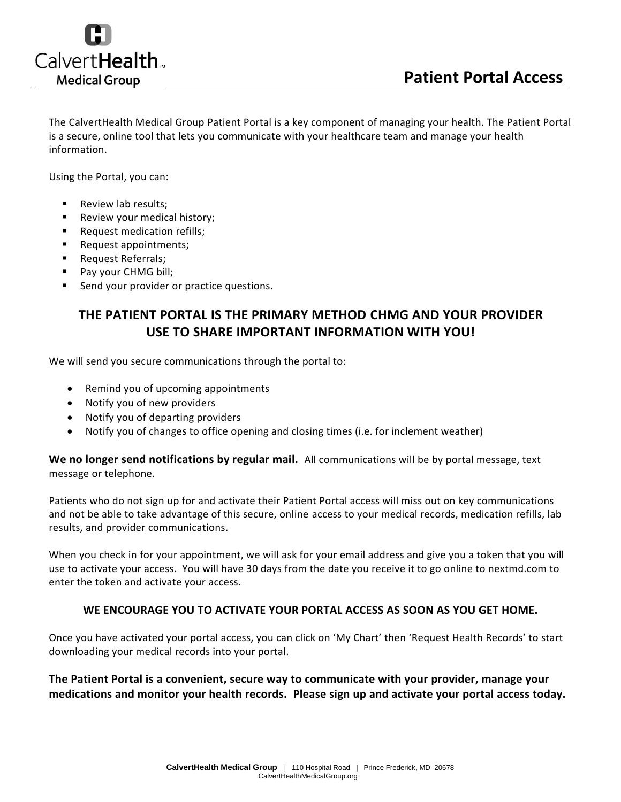

The CalvertHealth Medical Group Patient Portal is a key component of managing your health. The Patient Portal is a secure, online tool that lets you communicate with your healthcare team and manage your health information.

Using the Portal, you can:

- Review lab results:
- Review your medical history;
- Request medication refills;
- Request appointments;
- Request Referrals;
- Pay your CHMG bill;
- Send your provider or practice questions.

### **THE PATIENT PORTAL IS THE PRIMARY METHOD CHMG AND YOUR PROVIDER USE TO SHARE IMPORTANT INFORMATION WITH YOU!**

We will send you secure communications through the portal to:

- Remind you of upcoming appointments
- Notify you of new providers
- Notify you of departing providers
- Notify you of changes to office opening and closing times (i.e. for inclement weather)

**We no longer send notifications by regular mail.** All communications will be by portal message, text message or telephone.

Patients who do not sign up for and activate their Patient Portal access will miss out on key communications and not be able to take advantage of this secure, online access to your medical records, medication refills, lab results, and provider communications.

When you check in for your appointment, we will ask for your email address and give you a token that you will use to activate your access. You will have 30 days from the date you receive it to go online to nextmd.com to enter the token and activate your access.

### **WE ENCOURAGE YOU TO ACTIVATE YOUR PORTAL ACCESS AS SOON AS YOU GET HOME.**

Once you have activated your portal access, you can click on 'My Chart' then 'Request Health Records' to start downloading your medical records into your portal.

**The Patient Portal is a convenient, secure way to communicate with your provider, manage your medications and monitor your health records. Please sign up and activate your portal access today.**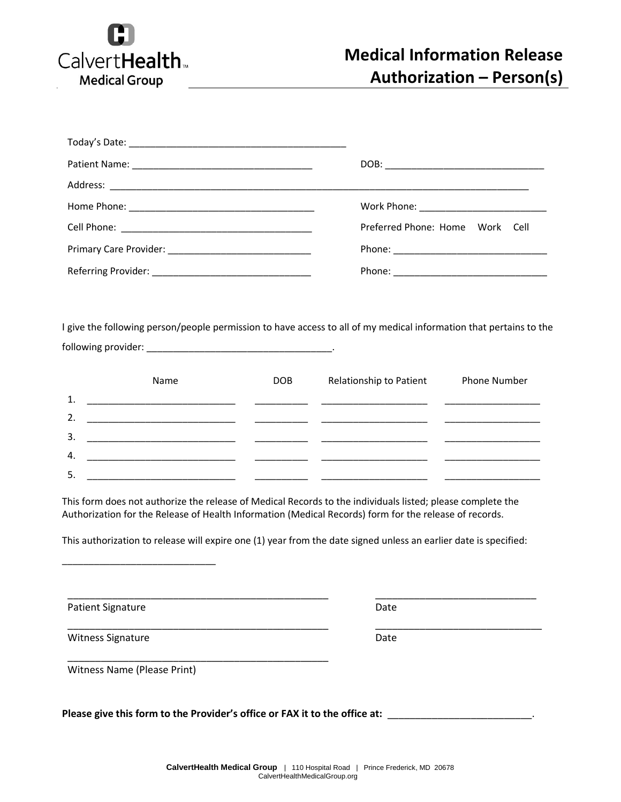

| Preferred Phone: Home Work Cell                                                                                    |
|--------------------------------------------------------------------------------------------------------------------|
|                                                                                                                    |
|                                                                                                                    |
|                                                                                                                    |
|                                                                                                                    |
|                                                                                                                    |
|                                                                                                                    |
| Relationship to Patient<br><b>Phone Number</b><br>DOB                                                              |
|                                                                                                                    |
|                                                                                                                    |
|                                                                                                                    |
|                                                                                                                    |
|                                                                                                                    |
| I give the following person/people permission to have access to all of my medical information that pertains to the |

This form does not authorize the release of Medical Records to the individuals listed; please complete the Authorization for the Release of Health Information (Medical Records) form for the release of records.

This authorization to release will expire one (1) year from the date signed unless an earlier date is specified:

\_\_\_\_\_\_\_\_\_\_\_\_\_\_\_\_\_\_\_\_\_\_\_\_\_\_\_\_\_\_\_\_\_\_\_\_\_\_\_\_\_\_\_\_\_\_\_ \_\_\_\_\_\_\_\_\_\_\_\_\_\_\_\_\_\_\_\_\_\_\_\_\_\_\_\_\_

Patient Signature Date

Witness Signature Date Date

\_\_\_\_\_\_\_\_\_\_\_\_\_\_\_\_\_\_\_\_\_\_\_\_\_\_\_\_\_\_\_\_\_\_\_\_\_\_\_\_\_\_\_\_\_\_\_ \_\_\_\_\_\_\_\_\_\_\_\_\_\_\_\_\_\_\_\_\_\_\_\_\_\_\_\_\_\_

Witness Name (Please Print)

\_\_\_\_\_\_\_\_\_\_\_\_\_\_\_\_\_\_\_\_\_\_\_\_\_\_\_\_\_

Please give this form to the Provider's office or FAX it to the office at: \_\_\_\_\_

\_\_\_\_\_\_\_\_\_\_\_\_\_\_\_\_\_\_\_\_\_\_\_\_\_\_\_\_\_\_\_\_\_\_\_\_\_\_\_\_\_\_\_\_\_\_\_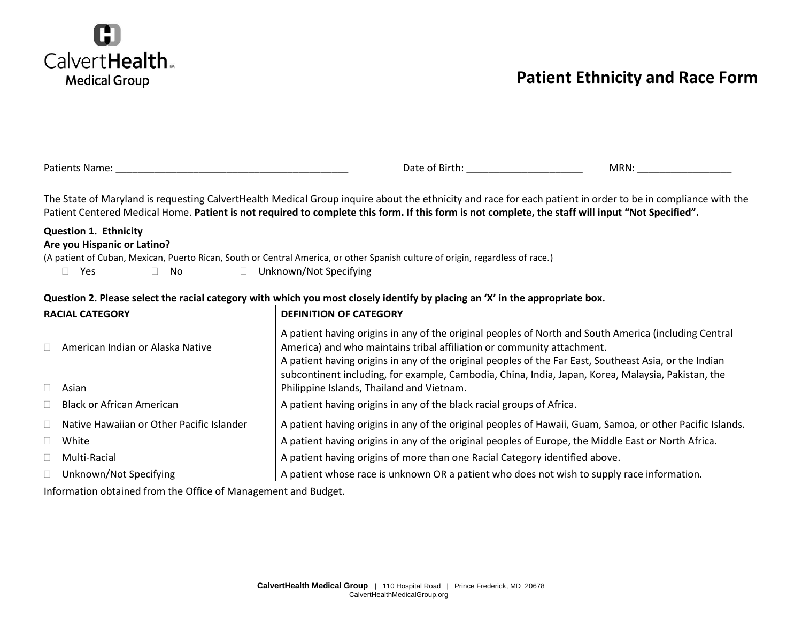

| Patients Name: Name                                                                                                                                                                                                                                                                                              | Date of Birth: The Case of Birth:<br>MRN:                                                                                                                                                                                                                                                                                                                                                       |  |  |  |
|------------------------------------------------------------------------------------------------------------------------------------------------------------------------------------------------------------------------------------------------------------------------------------------------------------------|-------------------------------------------------------------------------------------------------------------------------------------------------------------------------------------------------------------------------------------------------------------------------------------------------------------------------------------------------------------------------------------------------|--|--|--|
| The State of Maryland is requesting CalvertHealth Medical Group inquire about the ethnicity and race for each patient in order to be in compliance with the<br>Patient Centered Medical Home. Patient is not required to complete this form. If this form is not complete, the staff will input "Not Specified". |                                                                                                                                                                                                                                                                                                                                                                                                 |  |  |  |
| <b>Question 1. Ethnicity</b><br>Are you Hispanic or Latino?<br>Yes<br>$\Box$<br>No.<br>$\mathbb{R}^n$                                                                                                                                                                                                            | (A patient of Cuban, Mexican, Puerto Rican, South or Central America, or other Spanish culture of origin, regardless of race.)<br>Unknown/Not Specifying                                                                                                                                                                                                                                        |  |  |  |
| Question 2. Please select the racial category with which you most closely identify by placing an 'X' in the appropriate box.                                                                                                                                                                                     |                                                                                                                                                                                                                                                                                                                                                                                                 |  |  |  |
| <b>RACIAL CATEGORY</b>                                                                                                                                                                                                                                                                                           | <b>DEFINITION OF CATEGORY</b>                                                                                                                                                                                                                                                                                                                                                                   |  |  |  |
| American Indian or Alaska Native                                                                                                                                                                                                                                                                                 | A patient having origins in any of the original peoples of North and South America (including Central<br>America) and who maintains tribal affiliation or community attachment.<br>A patient having origins in any of the original peoples of the Far East, Southeast Asia, or the Indian<br>subcontinent including, for example, Cambodia, China, India, Japan, Korea, Malaysia, Pakistan, the |  |  |  |
| Asian<br>П.                                                                                                                                                                                                                                                                                                      | Philippine Islands, Thailand and Vietnam.                                                                                                                                                                                                                                                                                                                                                       |  |  |  |
| <b>Black or African American</b>                                                                                                                                                                                                                                                                                 | A patient having origins in any of the black racial groups of Africa.                                                                                                                                                                                                                                                                                                                           |  |  |  |
| Native Hawaiian or Other Pacific Islander                                                                                                                                                                                                                                                                        | A patient having origins in any of the original peoples of Hawaii, Guam, Samoa, or other Pacific Islands.                                                                                                                                                                                                                                                                                       |  |  |  |
| White<br>П.                                                                                                                                                                                                                                                                                                      | A patient having origins in any of the original peoples of Europe, the Middle East or North Africa.                                                                                                                                                                                                                                                                                             |  |  |  |
| Multi-Racial                                                                                                                                                                                                                                                                                                     | A patient having origins of more than one Racial Category identified above.                                                                                                                                                                                                                                                                                                                     |  |  |  |
| Unknown/Not Specifying                                                                                                                                                                                                                                                                                           | A patient whose race is unknown OR a patient who does not wish to supply race information.                                                                                                                                                                                                                                                                                                      |  |  |  |

Information obtained from the Office of Management and Budget.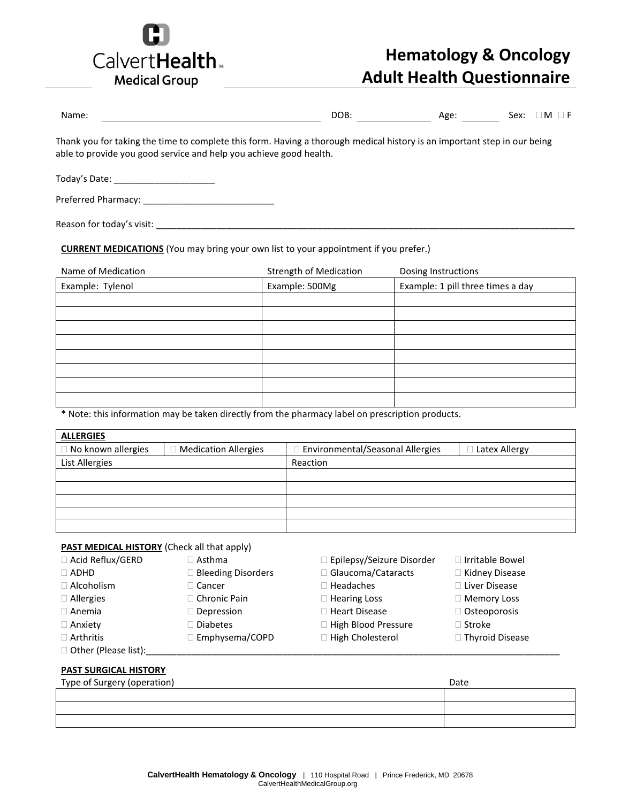

# **Hematology & Oncology Adult Health Questionnaire**

| Name: | DOB: | Age: | M<br>Sex: |
|-------|------|------|-----------|
|       |      |      |           |

Thank you for taking the time to complete this form. Having a thorough medical history is an important step in our being able to provide you good service and help you achieve good health.

| Today's Date: |
|---------------|
|---------------|

Preferred Pharmacy: \_\_\_\_\_\_\_\_\_\_\_\_\_\_\_\_\_\_\_\_\_\_\_\_\_\_

Reason for today's visit: \_\_\_\_\_\_\_\_\_\_\_\_\_\_\_\_\_\_\_\_\_\_\_\_\_\_\_\_\_\_\_\_\_\_\_\_\_\_\_\_\_\_\_\_\_\_\_\_\_\_\_\_\_\_\_\_\_\_\_\_\_\_\_\_\_\_\_\_\_\_\_\_\_\_\_\_\_\_\_\_\_\_\_

**CURRENT MEDICATIONS** (You may bring your own list to your appointment if you prefer.)

| Name of Medication | <b>Strength of Medication</b> | Dosing Instructions               |  |
|--------------------|-------------------------------|-----------------------------------|--|
| Example: Tylenol   | Example: 500Mg                | Example: 1 pill three times a day |  |
|                    |                               |                                   |  |
|                    |                               |                                   |  |
|                    |                               |                                   |  |
|                    |                               |                                   |  |
|                    |                               |                                   |  |
|                    |                               |                                   |  |
|                    |                               |                                   |  |
|                    |                               |                                   |  |

\* Note: this information may be taken directly from the pharmacy label on prescription products.

| <b>ALLERGIES</b>     |                             |                                    |               |
|----------------------|-----------------------------|------------------------------------|---------------|
| □ No known allergies | <b>Medication Allergies</b> | □ Environmental/Seasonal Allergies | Latex Allergy |
| List Allergies       |                             | Reaction                           |               |
|                      |                             |                                    |               |
|                      |                             |                                    |               |
|                      |                             |                                    |               |
|                      |                             |                                    |               |
|                      |                             |                                    |               |

#### **PAST MEDICAL HISTORY** (Check all that apply)

| $\Box$ Acid Reflux/GERD | $\Box$ Asthma             | Epilepsy/Seizure Disorder | □ Irritable Bowel      |
|-------------------------|---------------------------|---------------------------|------------------------|
| $\Box$ ADHD             | <b>Bleeding Disorders</b> | Glaucoma/Cataracts        | $\Box$ Kidney Disease  |
| $\Box$ Alcoholism       | $\Box$ Cancer             | Headaches                 | □ Liver Disease        |
| $\Box$ Allergies        | $\Box$ Chronic Pain       | □ Hearing Loss            | $\Box$ Memory Loss     |
| $\Box$ Anemia           | $\Box$ Depression         | □ Heart Disease           | $\Box$ Osteoporosis    |
| $\Box$ Anxiety          | □ Diabetes                | High Blood Pressure       | $\Box$ Stroke          |
| $\Box$ Arthritis        | □ Emphysema/COPD          | High Cholesterol          | $\Box$ Thyroid Disease |

 $\square$  Other (Please list):\_\_\_\_

### **PAST SURGICAL HISTORY**

| Type of Surgery (operation) | Date |
|-----------------------------|------|
|                             |      |
|                             |      |
|                             |      |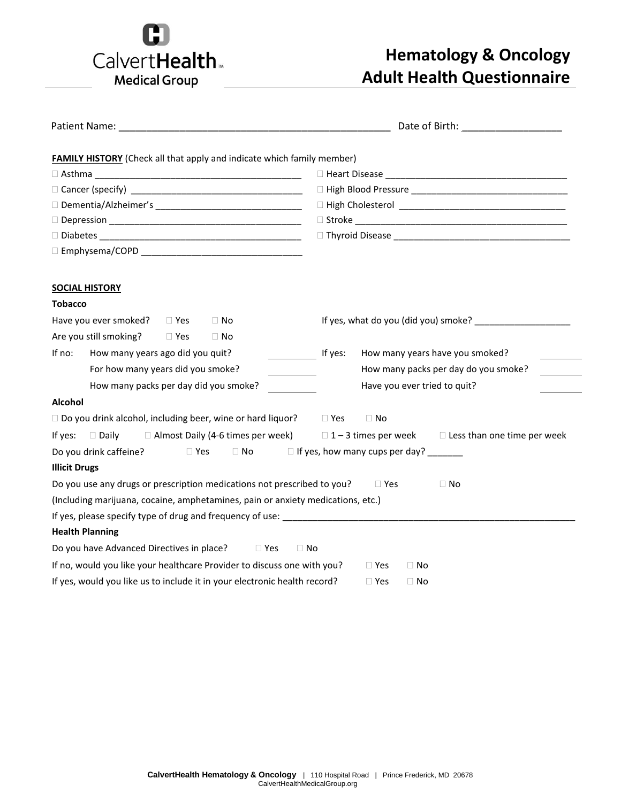

# **Hematology & Oncology Adult Health Questionnaire**

| Date of Birth: National Property of Birth:<br>Patient Name: The Contract of the Contract of the Contract of the Contract of the Contract of the Contract of the Contract of the Contract of the Contract of the Contract of the Contract of the Contract of the Contract of |                                                                |
|-----------------------------------------------------------------------------------------------------------------------------------------------------------------------------------------------------------------------------------------------------------------------------|----------------------------------------------------------------|
| <b>FAMILY HISTORY</b> (Check all that apply and indicate which family member)                                                                                                                                                                                               |                                                                |
|                                                                                                                                                                                                                                                                             |                                                                |
|                                                                                                                                                                                                                                                                             |                                                                |
|                                                                                                                                                                                                                                                                             |                                                                |
|                                                                                                                                                                                                                                                                             |                                                                |
|                                                                                                                                                                                                                                                                             |                                                                |
|                                                                                                                                                                                                                                                                             |                                                                |
|                                                                                                                                                                                                                                                                             |                                                                |
| <b>SOCIAL HISTORY</b>                                                                                                                                                                                                                                                       |                                                                |
| <b>Tobacco</b>                                                                                                                                                                                                                                                              |                                                                |
| Have you ever smoked?<br>$\Box$ No<br>$\Box$ Yes                                                                                                                                                                                                                            |                                                                |
| Are you still smoking? DYes<br>$\Box$ No                                                                                                                                                                                                                                    |                                                                |
| How many years ago did you quit?<br>If no:                                                                                                                                                                                                                                  | How many years have you smoked?<br>If yes:                     |
| For how many years did you smoke?                                                                                                                                                                                                                                           | How many packs per day do you smoke?                           |
| How many packs per day did you smoke?                                                                                                                                                                                                                                       | Have you ever tried to quit?                                   |
| <b>Alcohol</b>                                                                                                                                                                                                                                                              |                                                                |
| $\Box$ Do you drink alcohol, including beer, wine or hard liquor? $\Box$ Yes                                                                                                                                                                                                | $\Box$ No                                                      |
| □ Almost Daily (4-6 times per week)<br>If yes:<br>□ Daily                                                                                                                                                                                                                   | $\Box$ 1 – 3 times per week $\Box$ Less than one time per week |
| Do you drink caffeine?<br>$\Box$ Yes                                                                                                                                                                                                                                        | $\Box$ No $\Box$ If yes, how many cups per day?                |
| <b>Illicit Drugs</b>                                                                                                                                                                                                                                                        |                                                                |
| Do you use any drugs or prescription medications not prescribed to you?                                                                                                                                                                                                     | $\Box$ No<br>$\Box$ Yes                                        |
| (Including marijuana, cocaine, amphetamines, pain or anxiety medications, etc.)                                                                                                                                                                                             |                                                                |
|                                                                                                                                                                                                                                                                             |                                                                |
| <b>Health Planning</b>                                                                                                                                                                                                                                                      |                                                                |
| Do you have Advanced Directives in place? □ Yes                                                                                                                                                                                                                             | $\Box$ No                                                      |
| If no, would you like your healthcare Provider to discuss one with you?                                                                                                                                                                                                     | $\Box$ Yes<br>$\Box$ No                                        |
| If yes, would you like us to include it in your electronic health record?                                                                                                                                                                                                   | $\Box$ Yes<br>$\Box$ No                                        |